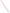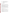| Agency:        | ENVIRONMENTAL PROTECTION AGENCY (EPA)                                                                                                                       |
|----------------|-------------------------------------------------------------------------------------------------------------------------------------------------------------|
| <b>Title:</b>  | "COST-EFFECTIVE APPROACHES TO REDUCING GREENHOUSE<br>GAS EMISSIONS THROUGH ENERGY EFFICIENCY, CLEAN<br>ENERGY, AND CORPORATE GREENHOUSE GAS<br>MANAGEMENT." |
| <b>Action:</b> | <b>Request for Proposals (RFP)</b>                                                                                                                          |
| RFP No.        | EPA-OAR-CPPD-08-04                                                                                                                                          |

**Date:** August 5, 2008

**SUMMARY:** Formal Agency responses to questions regarding the subject RFP

**Question 1**: How do I know if my project is eligible to apply under this solicitation?

**Answer 1:** Please refer to Section I.B for areas of interest. That being said, the areas of interest described in Section I.B. are not absolute requirements. However, applicants should note that proposals that address these areas may score higher during the evaluation process than proposals that do not address them.

**Question 2**: EPA is planning to award both grants and cooperative agreements- what's the difference? I assume the cooperative agreement would mean more day-to-day involvement with the agency. Does the applicant apply for the cooperative agreement specifically, or does EPA make that determination? If so, how does that work?

**Answer 2:** A cooperative agreement will entail substantial involvement from the EPA Project Officer. SAMPLE involvement may include but is not limited to the following activities:

Monthly telephone calls, emails or other meetings.

Planning discussions with the Project Officer before engaging in each of the major activities included in this project.

The EPA Project Officer will review all drafts of written materials which reference EPA program information going out to the public before printing/distribution.

The EPA Project Officer will review all completed project activities before approving subsequent project phases.

You may request a cooperative agreement at any level of funding. But the ultimate decision of which mode to use is at EPA's discretion. Furthermore, it is expected that cooperative agreements will be used for grants \$100,000 and greater. \*Please note that CPPD does not consider recipient type as a notable factor for making the "grant" vs. "cooperative agreement" distinction.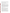**Question 3:** Are construction projects eligible to receive funds under this announcement?

**Answer 3:** The EPA will not be awarding construction grants under this solicitation. However, there might be other parts of your project that meet the scope of work interests identified in the RFP. Please review Section 1.B. to determine if your project meets the one or more of the area's of interest for this solicitation.

**Question 4:** How do I know if my organization is eligible?

**Answer 4:** Proposals will be accepted from States, local governments, territories, Indian Tribes, and possessions of the United States, including the District of Columbia, international organizations, universities and colleges, hospitals, laboratories, and other public or private nonprofit organizations.

Non-profit organization, as defined by OMB Circular A-122, located at 2 CFR Part 230, means any corporation, trust, association, cooperative, or other organization which: (1) is operated primarily for scientific, educational, service, charitable, or similar purposes in the public interest; (2) is not organized primarily for profit; and (3) uses its net proceeds to maintain, improve, and/or expand its operations. For this purpose, the term "non-profit organization" excludes (i) colleges and universities; (ii) hospitals; (iii) state, local, and federally-recognized Indian tribal governments; and (iv) those non-profit organizations which are excluded from coverage of this part in accordance with § 230.20 (c).

Non-profit organizations described in Section 501(c)(4) of the Internal Revenue Code that engage in lobbying activities as defined in Section 3 of the Lobbying Disclosure Act of 1995 are not eligible to receive Federal grants.

**Question 5:** Will EPA fund under this solicitation the purchase of energy efficient equipment and products?

**Answer 5:** This solicitation is authorized under Clean Air Act 103, which allows for funding the following activities: conducting and promoting the coordination and acceleration of research, investigations, experiments, demonstrations, surveys, and studies relating to the causes, effects (including health and welfare effects), extent, prevention, and control of air pollution. Therefore, under this solicitation allowable expenses must be related to research, investigations, demonstrations, surveys and/or studies and adhere to federal regulations 40 CFR Parts 30 or 31.

In addition, to be eligible for funding consideration, a project's focus must consist of activities within the statutory terms of EPA's financial assistance authorities; specifically, the statute listed above. Proposals that include project implementation will not be accepted. Generally, a project must address the causes, effects, extent, prevention, reduction, and elimination of air pollution. These activities should relate to the gathering or transferring of information or advancing the state of knowledge. Proposals should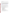emphasize this "learning" concept, as opposed to "fixing" an environmental problem via a well-established method.

**Question 6:** Is there someone at EPA willing to talk to me and tell me if my proposal is good?

**Answer 6:** The EPA makes maintaining the integrity of our competitive solicitations the highest priority. Consequently, we will not offer any preferential advice or consultation to prospective applicants. Question and Answers will be posted on this very website. However, we acknowledge that the  $Q \& A$ 's tend to be more general- and this is by design so that the information can be of benefit to the most possible range of applicants. Therefore, if you feel that a specific technology and/or technical component, and/or the very mission of your proposal has not been addressed, please resubmit your questionbeing very specific as to what answer you are seeking to cppd.grant-fundinginquiries@epa.gov.

**Question 7:** Can EPA provide examples of a previously funded proposal?

**Answer 7:** This is a new solicitation effort from the Climate Protection Partnership Division. Consequently, previously funded proposals do not exist for this solicitation.

**Question 8:** What organizations received grants from the most recent Climate Protection Partnerships competitive grant solicitation?

**Answer 8:** From the solicitation, "Market-Based Approaches to Reducing Greenhouse Gas Emissions Through Energy Efficiency in Homes and Buildings" RFP # EPA-OAR-CPPD-07-08, which closed August 30, 2007, the technical evaluation panel recommended grants to the following organizations:

Natural Resources Defense Council Rensselaer Polytechnic Institute Consortium for Energy Efficiency Northeast Energy Efficiency Partnerships Midwest Energy Alliance Southeast Energy Efficiency Alliance New Buildings Institute, Inc. National Association of State Energy Officials City of Berkeley National Association of Regulatory Utility Commissions Association of State Energy Research & Technology Transfer Institutions Northeast States for Coordinated Air Use Management

While EPA has in the past made awards to the above entities, EPA-OAR-CPPD-08-04, represents an entirely new request for proposals.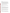**Question 9:** What if part of my project contains work that can be classified as Implementation?

**Answer 9:** To be eligible for funding consideration, a project's focus must consist of activities within the statutory terms of EPA's financial assistance authorities; specifically, Clean Air Act sec 103(b)3. These activities are limited to research, investigations, experiments, demonstrations, surveys, training, outreach and studies. Proposals that include project implementation will not be accepted. Generally, a project must address the causes, effects, extent, prevention, reduction, and elimination of air pollution.

These activities should relate to the gathering or transferring of information or advancing the state of knowledge. Proposals should emphasize this "learning" concept, as opposed to "fixing" an environmental problem via a well-established method.

**Question 10:** Will existing grants be funded from this solicitation?

**Answer 10:** No. The estimated funding for this solicitation is intended to fund the resulting new awards.

**Question 11:** Can existing EPA grantees be eligible to apply for this solicitation?

**Answer 11:** Yes. All eligible entities may apply. See Section III.A and Q&A #4 above for more info.

**Question 12:** Is there a page limit for our proposal?

**Answer 12:** Yes. The Narrative Proposal (section 1-3 below) **may not** exceed a maximum of 20 single-spaced typewritten pages, including the Summary Page. Pages in excess of 20 will not be considered. Supporting materials, such as resumes and letters of support, can be submitted as attachments and are not included in the 20-page limit. However, graphs, charts and tables that are part of the narrative would count towards the page limit.

**Question 13:** What type of budget information should a proposal include?

**Answer 13:** As stated in the RFP, proposals should include the SF-424A budget form which identifies the proposed costs for each budgetary category. In addition, your narrative should include a detailed budget, which describes and explains the proposed costs.

**Question 14:** I'm confused by the various references to "implementation". Can you please clarify?

**Answer 14:** To be eligible for funding consideration, a project's focus must consist of activities that are limited to research, investigations, experiments, demonstrations, surveys, training, outreach and studies. **Proposals that include project implementation**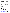**will not be accepted.** Generally, a project must address the causes, effects, extent, prevention, reduction, and elimination of air pollution. These activities should relate to the gathering or transferring of information or advancing the state of knowledge. Proposals should emphasize this "learning" concept, as opposed to "fixing" an environmental problem via a well-established method. Proposals relating to other topics which are sometimes included within the term "environment" such as recreation, conservation, restoration, protection of wildlife habitats, etc., must describe the relationship of these topics to the statutory required purpose of pollution prevention and/or control. However, EPA recognizes that order to perform your grant, you would need to "implement"- meaning to "carry out" your project activities.

**Question 15:** If our proposal will be cost-shared, can the non-EPA portion contain Implementation activities?

**Answer 15:** No. Proposals that include project implementation will not be accepted. Since cost-shared proposals incorporate all costs into the project, the implementation costs would still be unallowable costs- even though paid for with non-EPA funds.

**Question 16:** Are creating informative websites eligible project activities?

**Answer 16:** Again, please refer to Section I.B to determine whether your project appropriately addresses the areas of interest for this solicitation. An informative website would be an allowable expense if the grant appropriately meets the qualifications described in Section I.B.

**Question 17:** Should my proposal be written specific to one group within the Climate Protection Partnership Division?

**Answer 17:** This is a judgment call for applicants. Some proposals might benefit from specifically targeting a certain group, while other proposals might benefit from demonstrating cross-cutting activities.

**Question 18:** If our grant proposal includes an outside sponsorship from another organization, should we discuss it in the narrative and/or submit a letter of support with our proposal?

**Answer 18:** You may discuss the non-EPA sponsorship in the narrative and you may also include a letter of support.

**Question 19:** If I can't download the application from grants.gov, where else can I find a copy?

**Answer 19:** You may try the following websites in addition to grants.gov: http://www.epa.gov/air/grants\_funding.html , http://www.epa.gov/ogd/AppKit/application.htm or http://www.epa.gov/appdstar/fundingopp/fundingopp.htm . However, please be advised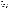that in order to submit an electronic application, you must complete your application through grants.gov.

**Question 20:** When addressing Past Performance and Programmatic Capability (Sec III.C.2.c. p.11) in our proposal, is it better to demonstrate the previous work performed by the organization, or just that of the Principal Investigator?

**Answer 20:** A discussion of the previous Federal grant activity performed by your organization is required for this section. When evaluating the proposals, EPA will determine a *separate* score for staff expertise and qualifications (see Sec.V.A.- item #5).

**Question 21:** Under this solicitation, is EPA accepting applications for multi-year grants, both for the smaller grants and for the cooperative agreement?

**Answer 21:** Yes, regardless of dollar amount you may apply for multi-year grants.

**Question 22:** What's the maximum dollar amount we can request?

**Answer 22:** The maximum amount you may apply for would be \$250,000 per year. To clarify, the total estimated funding for this competitive opportunity is approximately \$6,000,000. EPA anticipates awarding 1-10 grants, ranging in **annual** value from \$40,000 to \$90,000, from this announcement. Additionally, EPA anticipates awarding 4-10 cooperative agreements, ranging in **annual** value from \$100,000 to \$250,000. Awards are subject to the availability of funds and quality of evaluated proposals. EPA reserves the right to make additional awards under this announcement, consistent with Agency policy, if additional funding becomes available. Any additional selections for awards will be made no later than six months from the date of original selection date. **8/1/08 update: EPA will make the final determination on whether projects are classified as grants or cooperative agreements. This assessment will take place after recommendations for funding have occurred.** 

**Question 23:** Can one organization submit separate proposals for both the cooperative agreements and the grants?

**Answer 23:** Yes, your organization may submit multiple proposals of grants and/or cooperative agreements.

**Question 24:** Are grants that target the "farming community" eligible?

**Answer 24:** While the "farming community" was not identified in Section I.B, proposals that adequately meet the requirements of Section I.B., and the rest of solicitation, would be eligible for consideration.

**Question 25:** What should we put on the application for "congressional district" / SF-424 Item 16?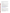**Answer 25:** Box (a) is for the congressional district your organization is located. If your project will take place somewhere else, you can include that information in Box (b)

**Question 26:** I'm having trouble completing the grants.gov electronic application. Where can I find assistance?

**Answer 26:** You may contact Grants.gov for assistance by phone at 1-800-518-4726.

**Question 27:** Referring to Section IV, in the discussion of the narrative requirements, what is meant by a "work product"?

Answer 27: When discussing your proposal, you should identify specific items that will be produced under the grant. A typical example would be a conference report following a conference paid for by grant funds.

**Question 28:** On page 15 of the RFP, under section VI (A.1.a.), it says, "The notification will advise the applicant that their Proposal has been successfully evaluated and recommended for award. The notices shall require submission of a Final Application." What would this Final Application" consist of?

**Answer 28:** If recommended for award, applicants would submit a Final Application. A Final Application is not bound by the length restrictions identified in the RFP Solicitation. Also, the Final Application would include any revisions to the narrative and/or budget. Furthermore, the Final Application should include all required certifications and documents required for EPA grants. May of these forms can be found at the following on the EPA Office of Grants and Debarment webpage. http://www.epa.gov/ogd/AppKit/application.htm

**Question 29:** Are 501(c)(6) non-profits eligible to apply?

**Answer 29:** Yes. Please refer to Section III, Part A Eligible Entities for further information.

 consulting firm act as the AOR? **Question 30:** I am currently employed at a consulting firm that works for the nonprofit seeking the funds. As such we have been hired to represent the organization. Is the AOR required to be a direct employee of the non-profit, or could a representative of the

 determining AOR status for grants.gov. Both roles are acceptable for AOR designation. The E-Biz POC, as defined by Grants.gov, must approve your AOR status. Please **Answer 30:** You may serve as the AOR if you have been designated by the Organization. Employment vs. Contractual arrangement is not a relevant factor for contact grants.gov with specific formatting questions.

**Question 31:** If our organization uses a consulting service to write our proposal, should we list the professional consultant's qualifications?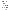**Answer 31:** If the consultant was used solely to draft the proposal, their qualifications would not be required material for your proposal. However, mention of the consultant's qualifications is appropriate if you plan to work with the consultant on the actual project, should you be awarded a grant under this solicitation. Please be advised that consultant costs and other procurement activities must follow all appropriate OMB Circulars, Federal Regulations, EPA Orders and conditions of award.

**Question 32:** If we are awarded a grant, what would be the limit we could pay for consultants?

**Answer 32:** As of this writing 7/23/2008, the consultant cap is follows:

"Payment to consultants. EPA participation in the salary rate (excluding overhead) paid to individual consultants retained by recipients or by a recipient's contractors or subcontractors shall be limited to the maximum daily rate for a Level IV of the Executive Schedule (formerly GS-18), to be adjusted annually. This limit applies to consultation services of designated individuals with specialized skills who are paid at a daily or hourly rate. As of January 1, 2008, the limit is \$571.12 per day and \$71.39 per hour. This rate does not include transportation and subsistence costs for travel performed (the recipient will pay these in accordance with their normal travel reimbursement practices).

Sub agreements with firms for services which are awarded using the procurement requirements in 40 CFR 30 or 31, as applicable, are not affected by this limitation unless the terms of the contract provide the recipient with responsibility for the selection, direction, and control of the individuals who will be providing services under the contract at an hourly or daily rate of compensation. See 40 CFR 31.36(j) or 30.27(b)."

**Question 33:** Page #9 of the solicitation states "\*Selected applicants will need to submit a copy of their current indirect cost rate that has been negotiated with a federal cognizant agency during application phase." Please explain what this means.

Answer 33: In order to bill Federal Grants for Fringe and Indirect Costs, recipients must have a negotiated indirect cost rate agreement with their cognizant Federal Agency. This process is common for universities and hospitals, but often less so for smaller and newer non-profits. You may still apply for this solicitation if you do not yet have an established indirect cost rate, however if selected, you will be required to begin the process of establishing one. In such a case, EPA would provide the instructions on how to get started.

 Federal Executive Order 12372"? **Question 34:** How do I know if my organization is subject to State review under

**Answer 34:** Some States require review of Federal grant applications. You should check with your Governor's office to find out who the single point of contact is for filing this submission, as well as for all other relevant filing instructions.

**Question 35:** What is the Competition Identification Number for this solicitation?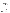## **Answer 35:** EPA-OAR-CPPD-08-04

**Question 36:** How do I know if our organization is delinquent on any federal debt?

**Answer 36:** Your organization's senior controller or finance person should know the answer to this question. If the answer is yes, you must indicate accordingly on the proposal submission.

**Question 37:** Do I have to show annual salaries as part of the budget?

**Answer 37:** Yes. You should show annual salaries and percentage of time when demonstrating personnel costs. For instance, a Program Manager making \$50,000 per year and working on this project for 10% of his/her time should be demonstrated in the budget narrative as follows:

Personnel: 1 .1FTE Program Manager  $\textcircled{ }$  \$50,000/annual = \$5,000

**Question 38:** Will CPPD be offering this solicitation again in calendar year 2009?

**Answer 38:** At this time, CPPD cannot confirm what, if any, grant solicitations will be available in calendar year 2009.

**Question 39:** Are information-gathering surveys allowable activities under this solicitation?

**Answer 39:** Surveys, if appropriate and necessary for your project, can be allowed. However surveys require careful consideration of the Paperwork Reduction Act. When a cooperative agreement's scope of work includes the survey or collection of identical information from 10 or more persons, the Paperwork Reduction Act requires EPA to obtain Office of Management and Budget (OMB) clearance. Similarly, when a grant's scope of work includes the survey or collection of identical information from 10 or more persons and EPA wants to influence, design or develop the activities of the survey, then EPA must obtain OMB approval.

**Question 40:** We have proposal that would require us to purchase equipment in support of our study. Is that allowed?

**Answer 40:** The purchase of equipment is allowed. However, please be advised that "equipment" refers to items \$5,000 or greater and is subject to the appropriate Federal Regulations stipulated in 40 CFR 30.34. In addition, in the event you are awarded a grant, and have purchased equipment under that grant, you will be subject to the disposition terms and conditions set forth by EPA in the award document.

**Question 41:** On page 9, the last paragraph reads "In the "Application Filing Name" box, your AOR should enter your organization's name (abbreviate where possible), the fiscal year (e.g. FY08), and the grant category (e.g. Assoc Prog Supp)." Are we supposed to identify the Federal Fiscal Year (FFY) or State Fiscal Year (SFY)?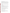**Answer 41:** We recommend using the Federal Fiscal Year the during which the solicitation posted on grants.gov- FY08.

**Question 42:** On page 9 of the RFP, the first sentence of the last paragraph refers to the "grant category." Where are these grant categories found in the RFP? Or, should we use categories like the ones found on Page 3, last paragraph, where it talks about activities like: research, investigations, experiments, demonstrations, surveys, trainings, outreach and studies?

**Answer 42:** Section I.B., on page 3, identifies the appropriate categories of projects for the solicitation. And yes, any one of the above-mentioned categories are allowable options.

**Question 43:** If our organization is currently an EPA grantee, can we still apply for this grant opportunity.

**Answer 43:** Yes. Being a current EPA grantee, does not restrict you from applying for this grant opportunity.

**Question 44:** Where should we include proposed budgets from potential contractors, consultants, and/or sub-awardees?

**Answer 44:** This information should be provided with your project narrative. You may choose to incorporate these budget details directly into the narrative, or you can create an attachment/addendum/appendix to reflect contractor, consultant and/or sub-award budgets.

**Question 45:** Is it possible that EPA would partially fund our project?

**Answer 45:** At this time EPA cannot respond to specific questions about partially funding your proposal, because your proposal has not yet been submitted and evaluated. Please refer to Section II.B of the RFP for more information on partial funding.

**Question 46:** How will my proposal be evaluated?

**Answer 46:** Please refer to Section V of the RFP.

**Question 47:** Who will review my proposal?

**Answer 47:** In order to maintain the integrity of competitive selection process, the reviewer identities will remain confidential.

**Question 48:** Is there another place I can go to find EPA application forms?

**Answer 48:** If you're having difficulty on grants.gov and/or if the RFP is proving difficult, you can find Application materials at